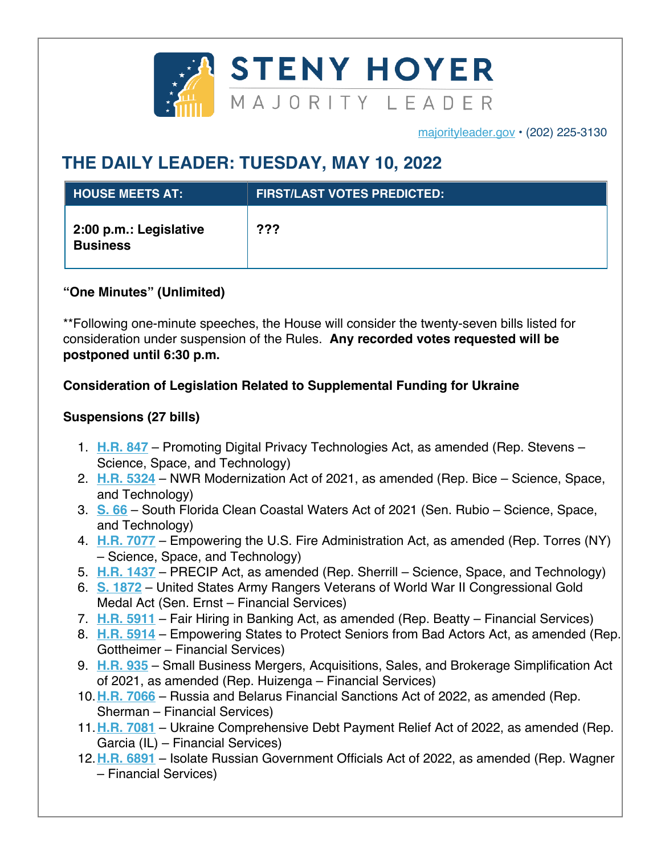

majorityleader.gov • (202) 225-3130

## **THE DAILY LEADER: TUESDAY, MAY 10, 2022**

| <b>HOUSE MEETS AT:</b>                    | <b>FIRST/LAST VOTES PREDICTED:</b> |
|-------------------------------------------|------------------------------------|
| 2:00 p.m.: Legislative<br><b>Business</b> | ???                                |

## **"One Minutes" (Unlimited)**

\*\*Following one-minute speeches, the House will consider the twenty-seven bills listed for consideration under suspension of the Rules. **Any recorded votes requested will be postponed until 6:30 p.m.**

## **Consideration of Legislation Related to Supplemental Funding for Ukraine**

## **Suspensions (27 bills)**

- 1. **H.R. 847** Promoting Digital Privacy Technologies Act, as amended (Rep. Stevens Science, Space, and Technology)
- 2. **H.R. 5324** NWR Modernization Act of 2021, as amended (Rep. Bice Science, Space, and Technology)
- 3. **S. 66** South Florida Clean Coastal Waters Act of 2021 (Sen. Rubio Science, Space, and Technology)
- 4. **H.R. 7077** Empowering the U.S. Fire Administration Act, as amended (Rep. Torres (NY) – Science, Space, and Technology)
- 5. **H.R. 1437** PRECIP Act, as amended (Rep. Sherrill Science, Space, and Technology)
- 6. **S. 1872** United States Army Rangers Veterans of World War II Congressional Gold Medal Act (Sen. Ernst – Financial Services)
- 7. **H.R. 5911** Fair Hiring in Banking Act, as amended (Rep. Beatty Financial Services)
- 8. **H.R. 5914** Empowering States to Protect Seniors from Bad Actors Act, as amended (Rep. Gottheimer – Financial Services)
- 9. **H.R. 935** Small Business Mergers, Acquisitions, Sales, and Brokerage Simplification Act of 2021, as amended (Rep. Huizenga – Financial Services)
- 10.**H.R. 7066** Russia and Belarus Financial Sanctions Act of 2022, as amended (Rep. Sherman – Financial Services)
- 11.**H.R. 7081** Ukraine Comprehensive Debt Payment Relief Act of 2022, as amended (Rep. Garcia (IL) – Financial Services)
- 12.**H.R. 6891** Isolate Russian Government Officials Act of 2022, as amended (Rep. Wagner – Financial Services)